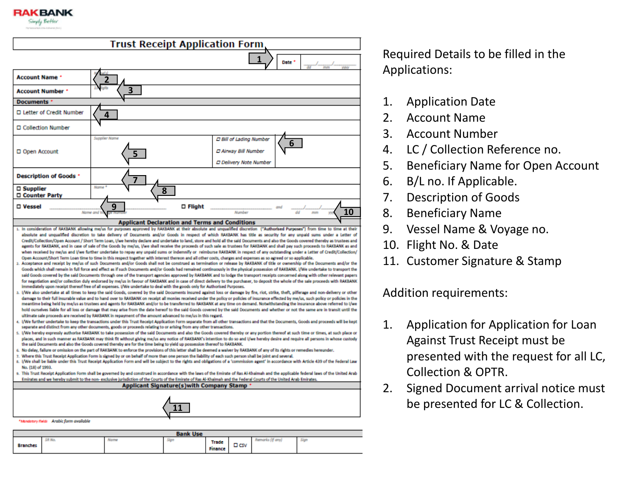

|                                        | <b>Trust Receipt Application Form</b>                                                                                                                                                                                                                                                                                                                                                                                                                                                                                                                                                                                                                                                                                                                                                                                                                                                                                                                                                                                                                                                                                                                                                                                                                                                                                                                                                                                                                                                                                                                                                                                                                                                                                                                                                                                                                                                                                                                                                                                                                                                                                                                                                                                                                                                                                                                                                                                                                                                                                                                                                                                                                                                                                                                                                                                                                                                                                                                                                                                                                                                                                                                                                                                                                                                                                                                                                                                                                                                                                                                                                                                                                                                                                                                                                                                                                                                                                                                                                                                                                                                                                                                                                                                                                                                                                                                                                                                                                                                                                                                                                                                                                                                |          |                                                                                         |                |
|----------------------------------------|--------------------------------------------------------------------------------------------------------------------------------------------------------------------------------------------------------------------------------------------------------------------------------------------------------------------------------------------------------------------------------------------------------------------------------------------------------------------------------------------------------------------------------------------------------------------------------------------------------------------------------------------------------------------------------------------------------------------------------------------------------------------------------------------------------------------------------------------------------------------------------------------------------------------------------------------------------------------------------------------------------------------------------------------------------------------------------------------------------------------------------------------------------------------------------------------------------------------------------------------------------------------------------------------------------------------------------------------------------------------------------------------------------------------------------------------------------------------------------------------------------------------------------------------------------------------------------------------------------------------------------------------------------------------------------------------------------------------------------------------------------------------------------------------------------------------------------------------------------------------------------------------------------------------------------------------------------------------------------------------------------------------------------------------------------------------------------------------------------------------------------------------------------------------------------------------------------------------------------------------------------------------------------------------------------------------------------------------------------------------------------------------------------------------------------------------------------------------------------------------------------------------------------------------------------------------------------------------------------------------------------------------------------------------------------------------------------------------------------------------------------------------------------------------------------------------------------------------------------------------------------------------------------------------------------------------------------------------------------------------------------------------------------------------------------------------------------------------------------------------------------------------------------------------------------------------------------------------------------------------------------------------------------------------------------------------------------------------------------------------------------------------------------------------------------------------------------------------------------------------------------------------------------------------------------------------------------------------------------------------------------------------------------------------------------------------------------------------------------------------------------------------------------------------------------------------------------------------------------------------------------------------------------------------------------------------------------------------------------------------------------------------------------------------------------------------------------------------------------------------------------------------------------------------------------------------------------------------------------------------------------------------------------------------------------------------------------------------------------------------------------------------------------------------------------------------------------------------------------------------------------------------------------------------------------------------------------------------------------------------------------------------------------------------------------------|----------|-----------------------------------------------------------------------------------------|----------------|
|                                        |                                                                                                                                                                                                                                                                                                                                                                                                                                                                                                                                                                                                                                                                                                                                                                                                                                                                                                                                                                                                                                                                                                                                                                                                                                                                                                                                                                                                                                                                                                                                                                                                                                                                                                                                                                                                                                                                                                                                                                                                                                                                                                                                                                                                                                                                                                                                                                                                                                                                                                                                                                                                                                                                                                                                                                                                                                                                                                                                                                                                                                                                                                                                                                                                                                                                                                                                                                                                                                                                                                                                                                                                                                                                                                                                                                                                                                                                                                                                                                                                                                                                                                                                                                                                                                                                                                                                                                                                                                                                                                                                                                                                                                                                                      |          |                                                                                         | Date *         |
| <b>Account Name *</b>                  |                                                                                                                                                                                                                                                                                                                                                                                                                                                                                                                                                                                                                                                                                                                                                                                                                                                                                                                                                                                                                                                                                                                                                                                                                                                                                                                                                                                                                                                                                                                                                                                                                                                                                                                                                                                                                                                                                                                                                                                                                                                                                                                                                                                                                                                                                                                                                                                                                                                                                                                                                                                                                                                                                                                                                                                                                                                                                                                                                                                                                                                                                                                                                                                                                                                                                                                                                                                                                                                                                                                                                                                                                                                                                                                                                                                                                                                                                                                                                                                                                                                                                                                                                                                                                                                                                                                                                                                                                                                                                                                                                                                                                                                                                      |          |                                                                                         |                |
| <b>Account Number *</b>                | 3                                                                                                                                                                                                                                                                                                                                                                                                                                                                                                                                                                                                                                                                                                                                                                                                                                                                                                                                                                                                                                                                                                                                                                                                                                                                                                                                                                                                                                                                                                                                                                                                                                                                                                                                                                                                                                                                                                                                                                                                                                                                                                                                                                                                                                                                                                                                                                                                                                                                                                                                                                                                                                                                                                                                                                                                                                                                                                                                                                                                                                                                                                                                                                                                                                                                                                                                                                                                                                                                                                                                                                                                                                                                                                                                                                                                                                                                                                                                                                                                                                                                                                                                                                                                                                                                                                                                                                                                                                                                                                                                                                                                                                                                                    |          |                                                                                         |                |
| <b>Documents</b>                       |                                                                                                                                                                                                                                                                                                                                                                                                                                                                                                                                                                                                                                                                                                                                                                                                                                                                                                                                                                                                                                                                                                                                                                                                                                                                                                                                                                                                                                                                                                                                                                                                                                                                                                                                                                                                                                                                                                                                                                                                                                                                                                                                                                                                                                                                                                                                                                                                                                                                                                                                                                                                                                                                                                                                                                                                                                                                                                                                                                                                                                                                                                                                                                                                                                                                                                                                                                                                                                                                                                                                                                                                                                                                                                                                                                                                                                                                                                                                                                                                                                                                                                                                                                                                                                                                                                                                                                                                                                                                                                                                                                                                                                                                                      |          |                                                                                         |                |
| □ Letter of Credit Number              | Δ                                                                                                                                                                                                                                                                                                                                                                                                                                                                                                                                                                                                                                                                                                                                                                                                                                                                                                                                                                                                                                                                                                                                                                                                                                                                                                                                                                                                                                                                                                                                                                                                                                                                                                                                                                                                                                                                                                                                                                                                                                                                                                                                                                                                                                                                                                                                                                                                                                                                                                                                                                                                                                                                                                                                                                                                                                                                                                                                                                                                                                                                                                                                                                                                                                                                                                                                                                                                                                                                                                                                                                                                                                                                                                                                                                                                                                                                                                                                                                                                                                                                                                                                                                                                                                                                                                                                                                                                                                                                                                                                                                                                                                                                                    |          |                                                                                         |                |
| □ Collection Number                    |                                                                                                                                                                                                                                                                                                                                                                                                                                                                                                                                                                                                                                                                                                                                                                                                                                                                                                                                                                                                                                                                                                                                                                                                                                                                                                                                                                                                                                                                                                                                                                                                                                                                                                                                                                                                                                                                                                                                                                                                                                                                                                                                                                                                                                                                                                                                                                                                                                                                                                                                                                                                                                                                                                                                                                                                                                                                                                                                                                                                                                                                                                                                                                                                                                                                                                                                                                                                                                                                                                                                                                                                                                                                                                                                                                                                                                                                                                                                                                                                                                                                                                                                                                                                                                                                                                                                                                                                                                                                                                                                                                                                                                                                                      |          |                                                                                         |                |
| D Open Account                         | <b>Supplier Name</b>                                                                                                                                                                                                                                                                                                                                                                                                                                                                                                                                                                                                                                                                                                                                                                                                                                                                                                                                                                                                                                                                                                                                                                                                                                                                                                                                                                                                                                                                                                                                                                                                                                                                                                                                                                                                                                                                                                                                                                                                                                                                                                                                                                                                                                                                                                                                                                                                                                                                                                                                                                                                                                                                                                                                                                                                                                                                                                                                                                                                                                                                                                                                                                                                                                                                                                                                                                                                                                                                                                                                                                                                                                                                                                                                                                                                                                                                                                                                                                                                                                                                                                                                                                                                                                                                                                                                                                                                                                                                                                                                                                                                                                                                 |          | <b>D Bill of Lading Number</b><br>D Airway Bill Number<br><b>D Delivery Note Number</b> | 6              |
| <b>Description of Goods *</b>          |                                                                                                                                                                                                                                                                                                                                                                                                                                                                                                                                                                                                                                                                                                                                                                                                                                                                                                                                                                                                                                                                                                                                                                                                                                                                                                                                                                                                                                                                                                                                                                                                                                                                                                                                                                                                                                                                                                                                                                                                                                                                                                                                                                                                                                                                                                                                                                                                                                                                                                                                                                                                                                                                                                                                                                                                                                                                                                                                                                                                                                                                                                                                                                                                                                                                                                                                                                                                                                                                                                                                                                                                                                                                                                                                                                                                                                                                                                                                                                                                                                                                                                                                                                                                                                                                                                                                                                                                                                                                                                                                                                                                                                                                                      |          |                                                                                         |                |
| □ Supplier<br>□ Counter Party          | 8                                                                                                                                                                                                                                                                                                                                                                                                                                                                                                                                                                                                                                                                                                                                                                                                                                                                                                                                                                                                                                                                                                                                                                                                                                                                                                                                                                                                                                                                                                                                                                                                                                                                                                                                                                                                                                                                                                                                                                                                                                                                                                                                                                                                                                                                                                                                                                                                                                                                                                                                                                                                                                                                                                                                                                                                                                                                                                                                                                                                                                                                                                                                                                                                                                                                                                                                                                                                                                                                                                                                                                                                                                                                                                                                                                                                                                                                                                                                                                                                                                                                                                                                                                                                                                                                                                                                                                                                                                                                                                                                                                                                                                                                                    |          |                                                                                         |                |
| □ Vessel                               | q<br>Name and                                                                                                                                                                                                                                                                                                                                                                                                                                                                                                                                                                                                                                                                                                                                                                                                                                                                                                                                                                                                                                                                                                                                                                                                                                                                                                                                                                                                                                                                                                                                                                                                                                                                                                                                                                                                                                                                                                                                                                                                                                                                                                                                                                                                                                                                                                                                                                                                                                                                                                                                                                                                                                                                                                                                                                                                                                                                                                                                                                                                                                                                                                                                                                                                                                                                                                                                                                                                                                                                                                                                                                                                                                                                                                                                                                                                                                                                                                                                                                                                                                                                                                                                                                                                                                                                                                                                                                                                                                                                                                                                                                                                                                                                        | □ Flight | Number                                                                                  | 10<br>dd<br>mm |
|                                        | <b>Applicant Declaration and Terms and Conditions</b>                                                                                                                                                                                                                                                                                                                                                                                                                                                                                                                                                                                                                                                                                                                                                                                                                                                                                                                                                                                                                                                                                                                                                                                                                                                                                                                                                                                                                                                                                                                                                                                                                                                                                                                                                                                                                                                                                                                                                                                                                                                                                                                                                                                                                                                                                                                                                                                                                                                                                                                                                                                                                                                                                                                                                                                                                                                                                                                                                                                                                                                                                                                                                                                                                                                                                                                                                                                                                                                                                                                                                                                                                                                                                                                                                                                                                                                                                                                                                                                                                                                                                                                                                                                                                                                                                                                                                                                                                                                                                                                                                                                                                                |          |                                                                                         |                |
| Ł.<br>s.<br>No. (18) of 1993.          | 1. In consideration of RAKBANK allowing me/us for purposes approved by RAKBANK at their absolute and unqualified discretion ("Authorised Purposes") from time to time at their<br>absolute and unqualitied discretion to take delivery of Documents and/or Goods in respect of which RAKBANK has title as security for any unpaid sums under a Letter of<br>Credit/Collection/Open Account / Short Term Loan, I/we hereby declare and undertake to land, store and hold all the said Documents and also the Goods covered thereby as trustees and<br>agents for RAKBANK, and in case of sale of the Goods by me/us, I/we shall receive the proceeds of such sale as trustees for RAKBANK and shall pay such proceeds to RAKBANK as and<br>when received by me/us and I/we further undertake to repay any unpaid sums or indemnify or reimburse RAKBANK in respect of any outstanding under a Letter of Credit/Collection/<br>Open Account/Short Term Loan time to time in this respect together with interest thereon and all other costs, charges and expenses as so agreed or so applicable.<br>2. Acceptance and receipt by me/us of such Documents and/or Goods shall not be construed as termination or release by RAKBANK of title or ownership of the Documents and/or the<br>Goods which shall remain in full force and effect as if such Documents and/or Goods had remained continuously in the physical possession of RAKBANK. I/We undertake to transport the<br>said Goods covered by the said Documents through one of the transport agencies approved by RAKBANK and to lodge the transport receipts concerned along with other relevant papers<br>for negotiation and/or collection duly endorsed by me/us in favour of RAKBANK and in case of direct delivery to the purchaser, to deposit the whole of the sale proceeds with RAKBANK<br>immediately upon receipt thereof free of all expenses. I/We undertake to deal with the goods only for Authorised Purposes.<br>3. I/We also undertake at all times to keep the said Goods, covered by the said Documents insured against loss or damage by fire, riot, strike, theft, pilferage and non-delivery or other<br>damage to their full insurable value and to hand over to RAKBANK on receipt all monies received under the policy or policies of insurance effected by me/us, such policy or policies in the<br>meantime being held by me/us as trustees and agents for RAKBANK and/or to be transferred to RAKBANK at any time on demand. Notwithstanding the insurance above referred to I/we<br>hold ourselves liable for all loss or damage that may arise from the date hereof to the said Goods covered by the said Documents and whether or not the same are in transit until the<br>ultimate sale proceeds are received by RAKBANK in repayment of the amount advanced to me/us in this regard.<br>(We further undertake to keep the transactions under this Trust Receipt Application Form separate from all other transactions and that the Documents, Goods and proceeds will be kept<br>separate and distinct from any other documents, goods or proceeds relating to or arising from any other transactions.<br>I/We hereby expressly authorise RAKBANK to take possession of the said Documents and also the Goods covered thereby or any portion thereof at such time or times, at such place or<br>places, and in such manner as RAKBANK may think fit without giving me/us any notice of RAKBANK's intention to do so and I/we hereby desire and require all persons in whose custody<br>the said Documents and also the Goods covered thereby are for the time being to yield up possession thereof to RAKBANK.<br>6. No delay, failure or omission on the part of RAKBANK to enforce the provisions of this letter shall be deemed a waiver by RAKBANK of any of its rights or remedies hereunder.<br>7. Where this Trust Receipt Application Form is signed by or on behalf of more than one person the liability of each such person shall be joint and several.<br>8. I/We shall be liable under this Trust Receipt Application Form and will be subject to the rights and obligations of a 'commission agent' in accordance with Article 439 of the Federal Law<br>9. This Trust Receipt Application Form shall be governed by and construed in accordance with the laws of the Emirate of Ras Al-Khaimah and the applicable federal laws of the United Arab<br>Emirates and we hereby submit to the non- exclusive jurisdiction of the Courts of the Emirate of Ras Al-Khaimah and the Federal Courts of the United Arab Emirates.<br><b>Applicant Signature(s) with Company Stamp</b> |          |                                                                                         |                |
|                                        |                                                                                                                                                                                                                                                                                                                                                                                                                                                                                                                                                                                                                                                                                                                                                                                                                                                                                                                                                                                                                                                                                                                                                                                                                                                                                                                                                                                                                                                                                                                                                                                                                                                                                                                                                                                                                                                                                                                                                                                                                                                                                                                                                                                                                                                                                                                                                                                                                                                                                                                                                                                                                                                                                                                                                                                                                                                                                                                                                                                                                                                                                                                                                                                                                                                                                                                                                                                                                                                                                                                                                                                                                                                                                                                                                                                                                                                                                                                                                                                                                                                                                                                                                                                                                                                                                                                                                                                                                                                                                                                                                                                                                                                                                      |          |                                                                                         |                |
| *Mendetory Relds Arabic form available |                                                                                                                                                                                                                                                                                                                                                                                                                                                                                                                                                                                                                                                                                                                                                                                                                                                                                                                                                                                                                                                                                                                                                                                                                                                                                                                                                                                                                                                                                                                                                                                                                                                                                                                                                                                                                                                                                                                                                                                                                                                                                                                                                                                                                                                                                                                                                                                                                                                                                                                                                                                                                                                                                                                                                                                                                                                                                                                                                                                                                                                                                                                                                                                                                                                                                                                                                                                                                                                                                                                                                                                                                                                                                                                                                                                                                                                                                                                                                                                                                                                                                                                                                                                                                                                                                                                                                                                                                                                                                                                                                                                                                                                                                      |          |                                                                                         |                |

| <b>Bank Use</b> |        |  |  |                         |                                |                            |  |
|-----------------|--------|--|--|-------------------------|--------------------------------|----------------------------|--|
| <b>Branches</b> | SN No. |  |  | Trade<br><b>Finance</b> | $\overline{\phantom{a}}$<br>பல | dealer.<br>10 <sub>m</sub> |  |

Required Details to be filled in the Applications:

- 1. Application Date
- 2. Account Name
- 3. Account Number
- 4. LC / Collection Reference no.
- 5. Beneficiary Name for Open Account
- 6. B/L no. If Applicable.
- 7. Description of Goods
- 8. Beneficiary Name
- 9. Vessel Name & Voyage no.
- 10. Flight No. & Date
- 11. Customer Signature & Stamp

Addition requirements:

- 1. Application for Application for Loan Against Trust Receipt must be presented with the request for all LC, Collection & OPTR.
- 2. Signed Document arrival notice must be presented for LC & Collection.